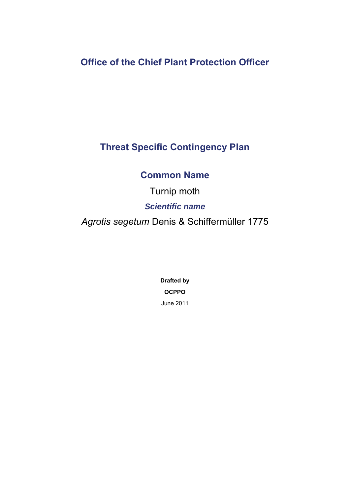# **Threat Specific Contingency Plan**

## **Common Name**

Turnip moth *Scientific name Agrotis segetum* Denis & Schiffermüller 1775

> **Drafted by OCPPO**  June 2011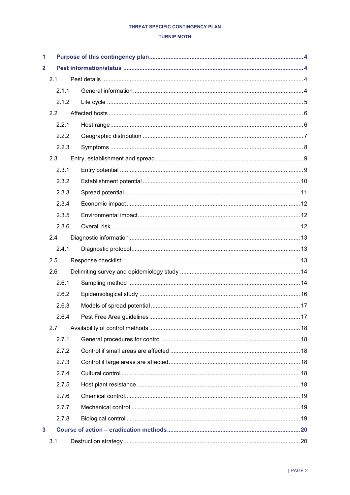### **TURNIP MOTH**

| 1                       |       |  |  |  |
|-------------------------|-------|--|--|--|
| $\overline{\mathbf{2}}$ |       |  |  |  |
|                         | 2.1   |  |  |  |
|                         | 2.1.1 |  |  |  |
|                         | 2.1.2 |  |  |  |
|                         | 2.2   |  |  |  |
|                         | 2.2.1 |  |  |  |
|                         | 2.2.2 |  |  |  |
|                         | 2.2.3 |  |  |  |
|                         | 2.3   |  |  |  |
|                         | 2.3.1 |  |  |  |
|                         | 2.3.2 |  |  |  |
|                         | 2.3.3 |  |  |  |
|                         | 2.3.4 |  |  |  |
|                         | 2.3.5 |  |  |  |
|                         | 2.3.6 |  |  |  |
|                         | 2.4   |  |  |  |
|                         | 2.4.1 |  |  |  |
|                         | 2.5   |  |  |  |
|                         | 2.6   |  |  |  |
|                         | 2.6.1 |  |  |  |
|                         | 2.6.2 |  |  |  |
|                         | 2.6.3 |  |  |  |
|                         | 2.6.4 |  |  |  |
|                         | 2.7   |  |  |  |
|                         | 2.7.1 |  |  |  |
|                         | 2.7.2 |  |  |  |
|                         | 2.7.3 |  |  |  |
|                         | 2.7.4 |  |  |  |
|                         | 2.7.5 |  |  |  |
|                         | 2.7.6 |  |  |  |
|                         | 2.7.7 |  |  |  |
|                         | 2.7.8 |  |  |  |
| 3                       |       |  |  |  |
|                         | 3.1   |  |  |  |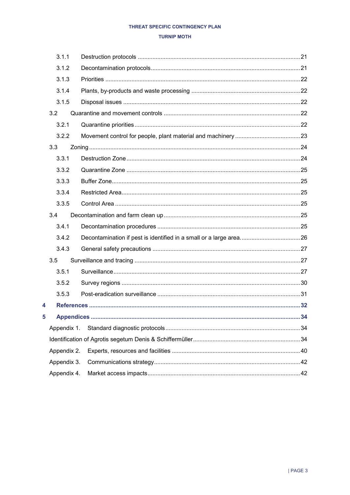### **TURNIP MOTH**

|   | 3.1.1       |  |
|---|-------------|--|
|   | 3.1.2       |  |
|   | 3.1.3       |  |
|   | 3.1.4       |  |
|   | 3.1.5       |  |
|   | 3.2         |  |
|   | 3.2.1       |  |
|   | 3.2.2       |  |
|   | 3.3         |  |
|   | 3.3.1       |  |
|   | 3.3.2       |  |
|   | 3.3.3       |  |
|   | 3.3.4       |  |
|   | 3.3.5       |  |
|   | 3.4         |  |
|   | 3.4.1       |  |
|   | 3.4.2       |  |
|   | 3.4.3       |  |
|   | 3.5         |  |
|   | 3.5.1       |  |
|   | 3.5.2       |  |
|   | 3.5.3       |  |
| 4 |             |  |
| 5 |             |  |
|   | Appendix 1. |  |
|   |             |  |
|   | Appendix 2. |  |
|   | Appendix 3. |  |
|   | Appendix 4. |  |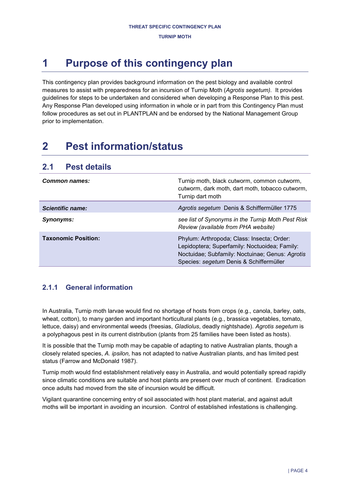# <span id="page-3-0"></span>**1 Purpose of this contingency plan**

This contingency plan provides background information on the pest biology and available control measures to assist with preparedness for an incursion of Turnip Moth (*Agrotis segetum).* It provides guidelines for steps to be undertaken and considered when developing a Response Plan to this pest. Any Response Plan developed using information in whole or in part from this Contingency Plan must follow procedures as set out in PLANTPLAN and be endorsed by the National Management Group prior to implementation.

# <span id="page-3-1"></span>**2 Pest information/status**

## <span id="page-3-2"></span>**2.1 Pest details**

| <b>Common names:</b>       | Turnip moth, black cutworm, common cutworm,<br>cutworm, dark moth, dart moth, tobacco cutworm,<br>Turnip dart moth                                                                        |
|----------------------------|-------------------------------------------------------------------------------------------------------------------------------------------------------------------------------------------|
| Scientific name:           | Agrotis segetum Denis & Schiffermüller 1775                                                                                                                                               |
| Synonyms:                  | see list of Synonyms in the Turnip Moth Pest Risk<br>Review (available from PHA website)                                                                                                  |
| <b>Taxonomic Position:</b> | Phylum: Arthropoda; Class: Insecta; Order:<br>Lepidoptera; Superfamily: Noctuoidea; Family:<br>Noctuidae; Subfamily: Noctuinae; Genus: Agrotis<br>Species: segetum Denis & Schiffermüller |

## <span id="page-3-3"></span>**2.1.1 General information**

In Australia, Turnip moth larvae would find no shortage of hosts from crops (e.g., canola, barley, oats, wheat, cotton), to many garden and important horticultural plants (e.g., brassica vegetables, tomato, lettuce, daisy) and environmental weeds (freesias, *Gladiolus*, deadly nightshade). *Agrotis segetum* is a polyphagous pest in its current distribution (plants from 25 families have been listed as hosts).

It is possible that the Turnip moth may be capable of adapting to native Australian plants, though a closely related species, *A. ipsilon,* has not adapted to native Australian plants, and has limited pest status (Farrow and McDonald 1987).

Turnip moth would find establishment relatively easy in Australia, and would potentially spread rapidly since climatic conditions are suitable and host plants are present over much of continent. Eradication once adults had moved from the site of incursion would be difficult.

Vigilant quarantine concerning entry of soil associated with host plant material, and against adult moths will be important in avoiding an incursion. Control of established infestations is challenging.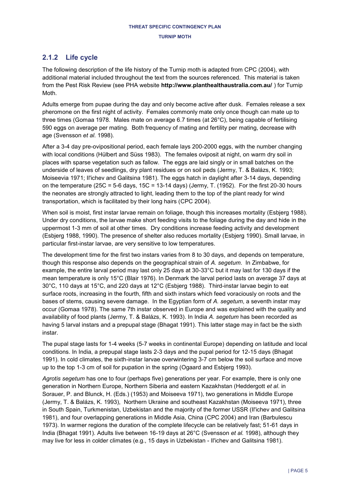## <span id="page-4-0"></span>**2.1.2 Life cycle**

The following description of the life history of the Turnip moth is adapted from CPC (2004), with additional material included throughout the text from the sources referenced. This material is taken from the Pest Risk Review (see PHA website **<http://www.planthealthaustralia.com.au/>** ) for Turnip Moth.

Adults emerge from pupae during the day and only become active after dusk. Females release a sex pheromone on the first night of activity. Females commonly mate only once though can mate up to three times (Gomaa 1978. Males mate on average 6.7 times (at 26°C), being capable of fertilising 590 eggs on average per mating. Both frequency of mating and fertility per mating, decrease with age (Svensson *et al*. 1998).

After a 3-4 day pre-ovipositional period, each female lays 200-2000 eggs, with the number changing with local conditions (Hülbert and Süss 1983). The females oviposit at night, on warm dry soil in places with sparse vegetation such as fallow. The eggs are laid singly or in small batches on the underside of leaves of seedlings, dry plant residues or on soil peds (Jermy, T. & Balázs, K. 1993; Moiseevia 1971; Il'ichev and Galitsina 1981). The eggs hatch in daylight after 3-14 days, depending on the temperature ( $25C = 5-6$  days,  $15C = 13-14$  days) (Jermy, T. ( $1952$ ). For the first 20-30 hours the neonates are strongly attracted to light, leading them to the top of the plant ready for wind transportation, which is facilitated by their long hairs [\(CPC](javascript:popup_window() 2004).

When soil is moist, first instar larvae remain on foliage, though this increases mortality (Esbjerg 1988). Under dry conditions, the larvae make short feeding visits to the foliage during the day and hide in the uppermost 1-3 mm of soil at other times. Dry conditions increase feeding activity and development [\(Esbjerg 1988,](javascript:popup_window() [1990\)](javascript:popup_window(). The presence of shelter also reduces mortality [\(Esbjerg 1990\)](javascript:popup_window(). Small larvae, in particular first-instar larvae, are very sensitive to low temperatures.

The development time for the first two instars varies from 8 to 30 days, and depends on temperature, though this response also depends on the geographical strain of *A. segetum*. In Zimbabwe, for example, the entire larval period may last only 25 days at 30-33°C but it may last for 130 days if the mean temperature is only 15°C [\(Blair 1976\)](javascript:popup_window(). In Denmark the larval period lasts on average 37 days at 30°C, 110 days at 15°C, and 220 days at 12°C [\(Esbjerg 1988\)](javascript:popup_window(). Third-instar larvae begin to eat surface roots, increasing in the fourth, fifth and sixth instars which feed voraciously on roots and the bases of stems, causing severe damage. In the Egyptian form of *A. segetum*, a seventh instar may occur [\(Gomaa 1978\)](javascript:popup_window(). The same 7th instar observed in Europe and was explained with the quality and availability of food plants (Jermy, T. & Balázs, K. 1993). In India *A. segetum* has been recorded as having 5 larval instars and a prepupal stage (Bhagat 1991). This latter stage may in fact be the sixth instar.

The pupal stage lasts for 1-4 weeks (5-7 weeks in continental Europe) depending on latitude and local conditions. In India, a prepupal stage lasts 2-3 days and the pupal period for 12-15 days (Bhagat 1991). In cold climates, the sixth-instar larvae overwintering 3-7 cm below the soil surface and move up to the top 1-3 cm of soil for pupation in the spring [\(Ogaard and Esbjerg 1993\)](javascript:popup_window().

*Agrotis segetum* has one to four (perhaps five) generations per year. For example, there is only one generation in Northern Europe, Northern Siberia and eastern Kazakhstan (Heddergott *et al*. in Sorauer, P. and Blunck, H. (Eds.) (1953) and Moiseeva 1971), two generations in Middle Europe (Jermy, T. & Balázs, K. 1993), Northern Ukraine and southeast Kazakhstan (Moiseeva 1971), three in South Spain, Turkmenistan, Uzbekistan and the majority of the former USSR (Il'ichev and Galitsina 1981), and four overlapping generations in Middle Asia, China [\(CPC](javascript:popup_window() 2004) and Iran (Barbulescu 1973). In warmer regions the duration of the complete lifecycle can be relatively fast; 51-61 days in India (Bhagat 1991). Adults live between 16-19 days at 26°C (Svensson *et al.* 1998), although they may live for less in colder climates (e.g., 15 days in Uzbekistan - Il'ichev and Galitsina 1981).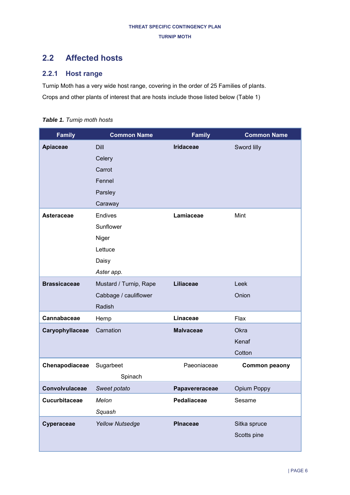## <span id="page-5-0"></span>**2.2 Affected hosts**

## <span id="page-5-1"></span>**2.2.1 Host range**

Turnip Moth has a very wide host range, covering in the order of 25 Families of plants. Crops and other plants of interest that are hosts include those listed below [\(Table 1\)](#page-5-2)

<span id="page-5-2"></span>*Table 1. Turnip moth hosts* 

| <b>Family</b>       | <b>Common Name</b>     | <b>Family</b>    | <b>Common Name</b> |
|---------------------|------------------------|------------------|--------------------|
| <b>Apiaceae</b>     | <b>Dill</b>            | <b>Iridaceae</b> | Sword lilly        |
|                     | Celery                 |                  |                    |
|                     | Carrot                 |                  |                    |
|                     | Fennel                 |                  |                    |
|                     | Parsley                |                  |                    |
|                     | Caraway                |                  |                    |
| Asteraceae          | <b>Endives</b>         | Lamiaceae        | Mint               |
|                     | Sunflower              |                  |                    |
|                     | Niger                  |                  |                    |
|                     | Lettuce                |                  |                    |
|                     | Daisy                  |                  |                    |
|                     | Aster app.             |                  |                    |
| <b>Brassicaceae</b> | Mustard / Turnip, Rape | <b>Liliaceae</b> | Leek               |
|                     | Cabbage / cauliflower  |                  | Onion              |
|                     | Radish                 |                  |                    |
| Cannabaceae         | Hemp                   | Linaceae         | Flax               |
| Caryophyllaceae     | Carnation              | <b>Malvaceae</b> | Okra               |
|                     |                        |                  | Kenaf              |
|                     |                        |                  | Cotton             |
| Chenapodiaceae      | Sugarbeet              | Paeoniaceae      | Common peaony      |
|                     | Spinach                |                  |                    |
| Convolvulaceae      | Sweet potato           | Papavereraceae   | Opium Poppy        |
| Cucurbitaceae       | Melon                  | Pedaliaceae      | Sesame             |
|                     | Squash                 |                  |                    |
| Cyperaceae          | <b>Yellow Nutsedge</b> | <b>PInaceae</b>  | Sitka spruce       |
|                     |                        |                  | Scotts pine        |
|                     |                        |                  |                    |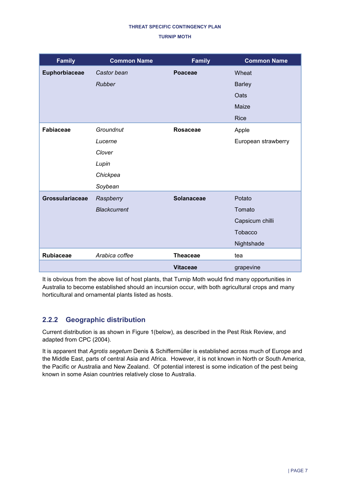| <b>Family</b>    | <b>Common Name</b>  | <b>Family</b>     | <b>Common Name</b>  |
|------------------|---------------------|-------------------|---------------------|
| Euphorbiaceae    | Castor bean         | Poaceae           | Wheat               |
|                  | Rubber              |                   | <b>Barley</b>       |
|                  |                     |                   | Oats                |
|                  |                     |                   | Maize               |
|                  |                     |                   | <b>Rice</b>         |
| <b>Fabiaceae</b> | Groundnut           | <b>Rosaceae</b>   | Apple               |
|                  | Lucerne             |                   | European strawberry |
|                  | Clover              |                   |                     |
|                  | Lupin               |                   |                     |
|                  | Chickpea            |                   |                     |
|                  | Soybean             |                   |                     |
| Grossulariaceae  | Raspberry           | <b>Solanaceae</b> | Potato              |
|                  | <b>Blackcurrent</b> |                   | Tomato              |
|                  |                     |                   | Capsicum chilli     |
|                  |                     |                   | <b>Tobacco</b>      |
|                  |                     |                   | Nightshade          |
| <b>Rubiaceae</b> | Arabica coffee      | <b>Theaceae</b>   | tea                 |
|                  |                     | <b>Vitaceae</b>   | grapevine           |

It is obvious from the above list of host plants, that Turnip Moth would find many opportunities in Australia to become established should an incursion occur, with both agricultural crops and many horticultural and ornamental plants listed as hosts.

## <span id="page-6-0"></span>**2.2.2 Geographic distribution**

Current distribution is as shown in [Figure 1\(](#page-7-1)below), as described in the Pest Risk Review, and adapted from CPC (2004).

It is apparent that *Agrotis segetum* Denis & Schiffermüller is established across much of Europe and the Middle East, parts of central Asia and Africa. However, it is not known in North or South America, the Pacific or Australia and New Zealand. Of potential interest is some indication of the pest being known in some Asian countries relatively close to Australia.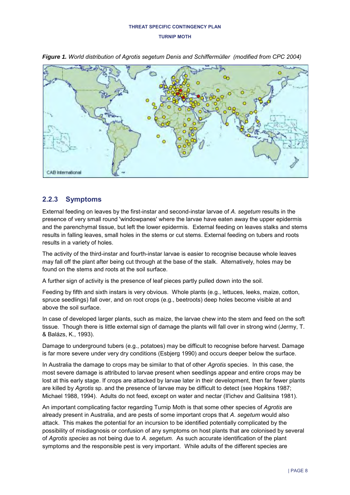

<span id="page-7-1"></span>*Figure 1. World distribution of Agrotis segetum Denis and Schiffermüller (modified from CPC 2004)*

## <span id="page-7-0"></span>**2.2.3 Symptoms**

External feeding on leaves by the first-instar and second-instar larvae of *A. segetum* results in the presence of very small round 'windowpanes' where the larvae have eaten away the upper epidermis and the parenchymal tissue, but left the lower epidermis. External feeding on leaves stalks and stems results in falling leaves, small holes in the stems or cut stems. External feeding on tubers and roots results in a variety of holes.

The activity of the third-instar and fourth-instar larvae is easier to recognise because whole leaves may fall off the plant after being cut through at the base of the stalk. Alternatively, holes may be found on the stems and roots at the soil surface.

A further sign of activity is the presence of leaf pieces partly pulled down into the soil.

Feeding by fifth and sixth instars is very obvious. Whole plants (e.g., lettuces, leeks, maize, cotton, spruce seedlings) fall over, and on root crops (e.g., beetroots) deep holes become visible at and above the soil surface.

In case of developed larger plants, such as maize, the larvae chew into the stem and feed on the soft tissue. Though there is little external sign of damage the plants will fall over in strong wind (Jermy, T. & Balázs, K., 1993).

Damage to underground tubers (e.g., potatoes) may be difficult to recognise before harvest. Damage is far more severe under very dry conditions (Esbjerg 1990) and occurs deeper below the surface.

In Australia the damage to crops may be similar to that of other *Agrotis* species. In this case, the most severe damage is attributed to larvae present when seedlings appear and entire crops may be lost at this early stage. If crops are attacked by larvae later in their development, then far fewer plants are killed by *Agrotis* sp. and the presence of larvae may be difficult to detect (see Hopkins 1987; Michael 1988, 1994). Adults do not feed, except on water and nectar (Il'ichev and Galitsina 1981).

An important complicating factor regarding Turnip Moth is that some other species of *Agrotis* are already present in Australia, and are pests of some important crops that *A. segetum* would also attack. This makes the potential for an incursion to be identified potentially complicated by the possibility of misdiagnosis or confusion of any symptoms on host plants that are colonised by several of *Agrotis species* as not being due to *A. segetum.* As such accurate identification of the plant symptoms and the responsible pest is very important. While adults of the different species are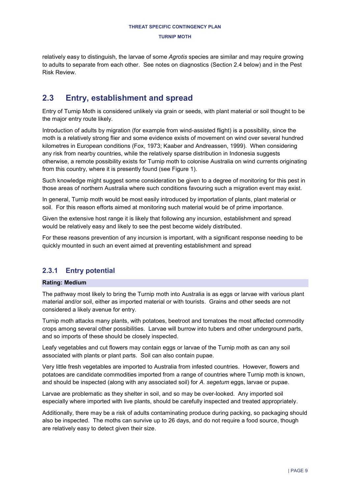relatively easy to distinguish, the larvae of some *Agrotis* species are similar and may require growing to adults to separate from each other. See notes on diagnostics (Section [2.4](#page-12-0) below) and in the Pest Risk Review.

## <span id="page-8-0"></span>**2.3 Entry, establishment and spread**

Entry of Turnip Moth is considered unlikely via grain or seeds, with plant material or soil thought to be the major entry route likely.

Introduction of adults by migration (for example from wind-assisted flight) is a possibility, since the moth is a relatively strong flier and some evidence exists of movement on wind over several hundred kilometres in European conditions (Fox, 1973; Kaaber and Andreassen, 1999). When considering any risk from nearby countries, while the relatively sparse distribution in Indonesia suggests otherwise, a remote possibility exists for Turnip moth to colonise Australia on wind currents originating from this country, where it is presently found (see [Figure 1\)](#page-7-1).

Such knowledge might suggest some consideration be given to a degree of monitoring for this pest in those areas of northern Australia where such conditions favouring such a migration event may exist.

In general, Turnip moth would be most easily introduced by importation of plants, plant material or soil. For this reason efforts aimed at monitoring such material would be of prime importance.

Given the extensive host range it is likely that following any incursion, establishment and spread would be relatively easy and likely to see the pest become widely distributed.

For these reasons prevention of any incursion is important, with a significant response needing to be quickly mounted in such an event aimed at preventing establishment and spread

## <span id="page-8-1"></span>**2.3.1 Entry potential**

### **Rating: Medium**

The pathway most likely to bring the Turnip moth into Australia is as eggs or larvae with various plant material and/or soil, either as imported material or with tourists. Grains and other seeds are not considered a likely avenue for entry.

Turnip moth attacks many plants, with potatoes, beetroot and tomatoes the most affected commodity crops among several other possibilities. Larvae will burrow into tubers and other underground parts, and so imports of these should be closely inspected.

Leafy vegetables and cut flowers may contain eggs or larvae of the Turnip moth as can any soil associated with plants or plant parts. Soil can also contain pupae.

Very little fresh vegetables are imported to Australia from infested countries. However, flowers and potatoes are candidate commodities imported from a range of countries where Turnip moth is known, and should be inspected (along with any associated soil) for *A. segetum* eggs, larvae or pupae.

Larvae are problematic as they shelter in soil, and so may be over-looked. Any imported soil especially where imported with live plants, should be carefully inspected and treated appropriately.

Additionally, there may be a risk of adults contaminating produce during packing, so packaging should also be inspected. The moths can survive up to 26 days, and do not require a food source, though are relatively easy to detect given their size.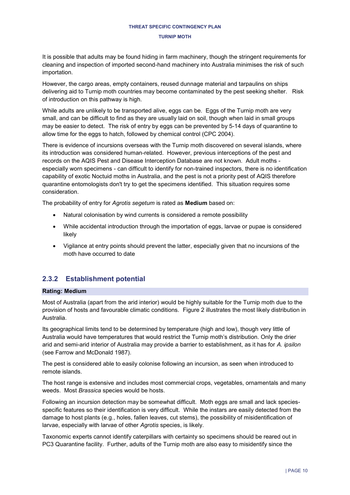#### **TURNIP MOTH**

It is possible that adults may be found hiding in farm machinery, though the stringent requirements for cleaning and inspection of imported second-hand machinery into Australia minimises the risk of such importation.

However, the cargo areas, empty containers, reused dunnage material and tarpaulins on ships delivering aid to Turnip moth countries may become contaminated by the pest seeking shelter. Risk of introduction on this pathway is high.

While adults are unlikely to be transported alive, eggs can be. Eggs of the Turnip moth are very small, and can be difficult to find as they are usually laid on soil, though when laid in small groups may be easier to detect. The risk of entry by eggs can be prevented by 5-14 days of quarantine to allow time for the eggs to hatch, followed by chemical control (CPC 2004).

There is evidence of incursions overseas with the Turnip moth discovered on several islands, where its introduction was considered human-related. However, previous interceptions of the pest and records on the AQIS Pest and Disease Interception Database are not known. Adult moths especially worn specimens - can difficult to identify for non-trained inspectors, there is no identification capability of exotic Noctuid moths in Australia, and the pest is not a priority pest of AQIS therefore quarantine entomologists don't try to get the specimens identified. This situation requires some consideration.

The probability of entry for *Agrotis segetum* is rated as **Medium** based on:

- Natural colonisation by wind currents is considered a remote possibility
- While accidental introduction through the importation of eggs, larvae or pupae is considered likely
- Vigilance at entry points should prevent the latter, especially given that no incursions of the moth have occurred to date

## <span id="page-9-0"></span>**2.3.2 Establishment potential**

#### **Rating: Medium**

Most of Australia (apart from the arid interior) would be highly suitable for the Turnip moth due to the provision of hosts and favourable climatic conditions. Figure 2 illustrates the most likely distribution in Australia.

Its geographical limits tend to be determined by temperature (high and low), though very little of Australia would have temperatures that would restrict the Turnip moth's distribution. Only the drier arid and semi-arid interior of Australia may provide a barrier to establishment, as it has for *A. ipsilon* (see Farrow and McDonald 1987).

The pest is considered able to easily colonise following an incursion, as seen when introduced to remote islands.

The host range is extensive and includes most commercial crops, vegetables, ornamentals and many weeds. Most *Brassica* species would be hosts.

Following an incursion detection may be somewhat difficult. Moth eggs are small and lack speciesspecific features so their identification is very difficult. While the instars are easily detected from the damage to host plants (e.g., holes, fallen leaves, cut stems), the possibility of misidentification of larvae, especially with larvae of other *Agrotis* species, is likely.

Taxonomic experts cannot identify caterpillars with certainty so specimens should be reared out in PC3 Quarantine facility. Further, adults of the Turnip moth are also easy to misidentify since the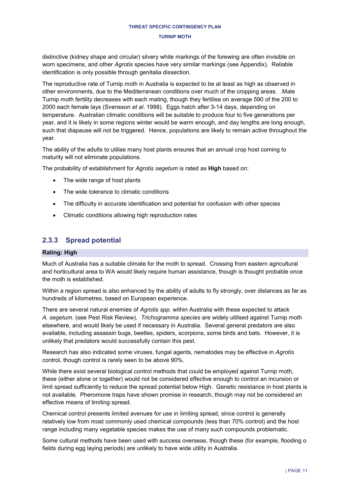distinctive (kidney shape and circular) silvery white markings of the forewing are often invisible on worn specimens, and other *Agrotis* species have very similar markings (see Appendix). Reliable identification is only possible through genitalia dissection.

The reproductive rate of Turnip moth in Australia is expected to be at least as high as observed in other environments, due to the Mediterranean conditions over much of the cropping areas. .Male Turnip moth fertility decreases with each mating, though they fertilise on average 590 of the 200 to 2000 each female lays (Svensson *et al*. 1998). Eggs hatch after 3-14 days, depending on temperature. Australian climatic conditions will be suitable to produce four to five generations per year, and it is likely in some regions winter would be warm enough, and day lengths are long enough, such that diapause will not be triggered. Hence, populations are likely to remain active throughout the year.

The ability of the adults to utilise many host plants ensures that an annual crop host coming to maturity will not eliminate populations.

The probability of establishment for *Agrotis segetum* is rated as **High** based on:

- The wide range of host plants
- The wide tolerance to climatic conditions
- The difficulty in accurate identification and potential for confusion with other species
- Climatic conditions allowing high reproduction rates

### <span id="page-10-0"></span>**2.3.3 Spread potential**

#### **Rating: High**

Much of Australia has a suitable climate for the moth to spread. Crossing from eastern agricultural and horticultural area to WA would likely require human assistance, though is thought probable once the moth is established.

Within a region spread is also enhanced by the ability of adults to fly strongly, over distances as far as hundreds of kilometres, based on European experience.

There are several natural enemies of *Agrotis spp.* within Australia with these expected to attack *A. segetum*. (see Pest Risk Review). *Trichogramma species* are widely utilised against Turnip moth elsewhere, and would likely be used if necessary in Australia. Several general predators are also available, including assassin bugs, beetles, spiders, scorpions, some birds and bats. However, it is unlikely that predators would successfully contain this pest.

Research has also indicated some viruses, fungal agents, nematodes may be effective in *Agrotis* control, though control is rarely seen to be above 90%.

While there exist several biological control methods that could be employed against Turnip moth, these (either alone or together) would not be considered effective enough to control an incursion or limit spread sufficiently to reduce the spread potential below High. Genetic resistance in host plants is not available. Pheromone traps have shown promise in research, though may not be considered an effective means of limiting spread.

Chemical control presents limited avenues for use in limiting spread, since control is generally relatively low from most commonly used chemical compounds (less than 70% control) and the host range including many vegetable species makes the use of many such compounds problematic.

Some cultural methods have been used with success overseas, though these (for example, flooding o fields during egg laying periods) are unlikely to have wide utility in Australia.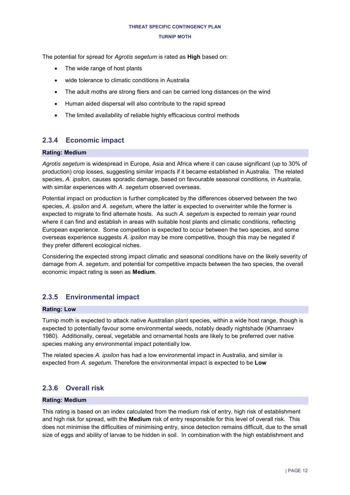#### **TURNIP MOTH**

The potential for spread for *Agrotis segetum* is rated as **High** based on:

- The wide range of host plants
- wide tolerance to climatic conditions in Australia
- The adult moths are strong fliers and can be carried long distances on the wind
- Human aided dispersal will also contribute to the rapid spread
- The limited availability of reliable highly efficacious control methods

## <span id="page-11-0"></span>**2.3.4 Economic impact**

## **Rating: Medium**

*Agrotis segetum* is widespread in Europe, Asia and Africa where it can cause significant (up to 30% of production) crop losses, suggesting similar impacts if it became established in Australia. The related species, *A. ipsilon,* causes sporadic damage, based on favourable seasonal conditions, in Australia, with similar experiences with *A. segetum* observed overseas.

Potential impact on production is further complicated by the differences observed between the two species, *A. ipsilon* and *A. segetum*, where the latter is expected to overwinter while the former is expected to migrate to find alternate hosts. As such *A. segetum* is expected to remain year round where it can find and establish in areas with suitable host plants and climatic conditions, reflecting European experience. Some competition is expected to occur between the two species, and some overseas experience suggests *A. ipsilon* may be more competitive, though this may be negated if they prefer different ecological niches.

Considering the expected strong impact climatic and seasonal conditions have on the likely severity of damage from *A. segetum*, and potential for competitive impacts between the two species, the overall economic impact rating is seen as **Medium**.

## <span id="page-11-1"></span>**2.3.5 Environmental impact**

### **Rating: Low**

Turnip moth is expected to attack native Australian plant species, within a wide host range, though is expected to potentially favour some environmental weeds, notably deadly nightshade (Khamraev 1980). Additionally, cereal, vegetable and ornamental hosts are likely to be preferred over native species making any environmental impact potentially low.

The related species *A. ipsilon* has had a low environmental impact in Australia, and similar is expected from *A. segetum*. Therefore the environmental impact is expected to be **Low**

## <span id="page-11-2"></span>**2.3.6 Overall risk**

### **Rating: Medium**

This rating is based on an index calculated from the medium risk of entry, high risk of establishment and high risk for spread, with the **Medium** risk of entry responsible for this level of overall risk. This does not minimise the difficulties of minimising entry, since detection remains difficult, due to the small size of eggs and ability of larvae to be hidden in soil. In combination with the high establishment and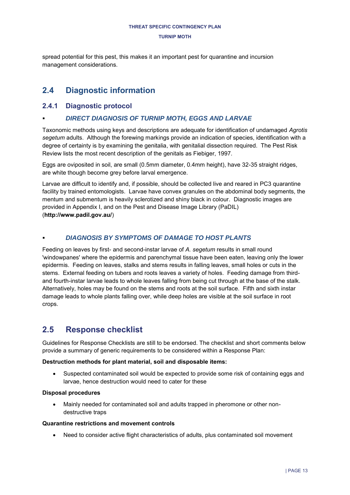spread potential for this pest, this makes it an important pest for quarantine and incursion management considerations.

## <span id="page-12-0"></span>**2.4 Diagnostic information**

## <span id="page-12-1"></span>**2.4.1 Diagnostic protocol**

## *DIRECT DIAGNOSIS OF TURNIP MOTH, EGGS AND LARVAE*

Taxonomic methods using keys and descriptions are adequate for identification of undamaged *Agrotis segetum* adults. Although the forewing markings provide an indication of species, identification with a degree of certainty is by examining the genitalia, with genitalial dissection required. The Pest Risk Review lists the most recent description of the genitals as Fiebiger, 1997.

Eggs are oviposited in soil, are small (0.5mm diameter, 0.4mm height), have 32-35 straight ridges, are white though become grey before larval emergence.

Larvae are difficult to identify and, if possible, should be collected live and reared in PC3 quarantine facility by trained entomologists. Larvae have convex granules on the abdominal body segments, the mentum and submentum is heavily sclerotized and shiny black in colour. Diagnostic images are provided in Appendix I, and on the Pest and Disease Image Library (PaDIL) (**<http://www.padil.gov.au/>**)

## *DIAGNOSIS BY SYMPTOMS OF DAMAGE TO HOST PLANTS*

Feeding on leaves by first- and second-instar larvae of *A. segetum* results in small round 'windowpanes' where the epidermis and parenchymal tissue have been eaten, leaving only the lower epidermis. Feeding on leaves, stalks and stems results in falling leaves, small holes or cuts in the stems. External feeding on tubers and roots leaves a variety of holes. Feeding damage from thirdand fourth-instar larvae leads to whole leaves falling from being cut through at the base of the stalk. Alternatively, holes may be found on the stems and roots at the soil surface. Fifth and sixth instar damage leads to whole plants falling over, while deep holes are visible at the soil surface in root crops.

## <span id="page-12-2"></span>**2.5 Response checklist**

Guidelines for Response Checklists are still to be endorsed. The checklist and short comments below provide a summary of generic requirements to be considered within a Response Plan:

### **Destruction methods for plant material, soil and disposable items:**

 Suspected contaminated soil would be expected to provide some risk of containing eggs and larvae, hence destruction would need to cater for these

### **Disposal procedures**

 Mainly needed for contaminated soil and adults trapped in pheromone or other nondestructive traps

### **Quarantine restrictions and movement controls**

Need to consider active flight characteristics of adults, plus contaminated soil movement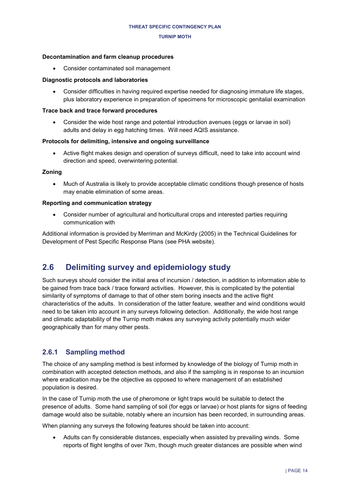### **Decontamination and farm cleanup procedures**

Consider contaminated soil management

### **Diagnostic protocols and laboratories**

 Consider difficulties in having required expertise needed for diagnosing immature life stages, plus laboratory experience in preparation of specimens for microscopic genitalial examination

### **Trace back and trace forward procedures**

 Consider the wide host range and potential introduction avenues (eggs or larvae in soil) adults and delay in egg hatching times. Will need AQIS assistance.

### **Protocols for delimiting, intensive and ongoing surveillance**

 Active flight makes design and operation of surveys difficult, need to take into account wind direction and speed, overwintering potential.

### **Zoning**

 Much of Australia is likely to provide acceptable climatic conditions though presence of hosts may enable elimination of some areas.

### **Reporting and communication strategy**

 Consider number of agricultural and horticultural crops and interested parties requiring communication with

Additional information is provided by Merriman and McKirdy (2005) in the Technical Guidelines for Development of Pest Specific Response Plans (see PHA website).

## <span id="page-13-0"></span>**2.6 Delimiting survey and epidemiology study**

Such surveys should consider the initial area of incursion / detection, in addition to information able to be gained from trace back / trace forward activities. However, this is complicated by the potential similarity of symptoms of damage to that of other stem boring insects and the active flight characteristics of the adults. In consideration of the latter feature, weather and wind conditions would need to be taken into account in any surveys following detection. Additionally, the wide host range and climatic adaptability of the Turnip moth makes any surveying activity potentially much wider geographically than for many other pests.

## <span id="page-13-1"></span>**2.6.1 Sampling method**

The choice of any sampling method is best informed by knowledge of the biology of Turnip moth in combination with accepted detection methods, and also if the sampling is in response to an incursion where eradication may be the objective as opposed to where management of an established population is desired.

In the case of Turnip moth the use of pheromone or light traps would be suitable to detect the presence of adults. Some hand sampling of soil (for eggs or larvae) or host plants for signs of feeding damage would also be suitable, notably where an incursion has been recorded, in surrounding areas.

When planning any surveys the following features should be taken into account:

 Adults can fly considerable distances, especially when assisted by prevailing winds. Some reports of flight lengths of over 7km, though much greater distances are possible when wind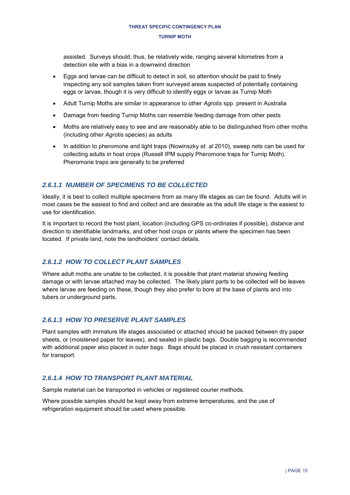assisted. Surveys should, thus, be relatively wide, ranging several kilometres from a detection site with a bias in a downwind direction

- Eggs and larvae can be difficult to detect in soil, so attention should be paid to finely inspecting any soil samples taken from surveyed areas suspected of potentially containing eggs or larvae, though it is very difficult to identify eggs or larvae as Turnip Moth
- Adult Turnip Moths are similar in appearance to other *Agrotis* spp. present in Australia
- Damage from feeding Turnip Moths can resemble feeding damage from other pests
- Moths are relatively easy to see and are reasonably able to be distinguished from other moths (including other *Agrotis* species) as adults
- In addition to pheromone and light traps (Nowinszky *et. al* 2010), sweep nets can be used for collecting adults in host crops (Russell IPM supply Pheromone traps for Turnip Moth). Pheromone traps are generally to be preferred

## *2.6.1.1 NUMBER OF SPECIMENS TO BE COLLECTED*

Ideally, it is best to collect multiple specimens from as many life stages as can be found. Adults will in most cases be the easiest to find and collect and are desirable as the adult life stage is the easiest to use for identification.

It is important to record the host plant, location (including GPS co-ordinates if possible), distance and direction to identifiable landmarks, and other host crops or plants where the specimen has been located. If private land, note the landholders' contact details.

### *2.6.1.2 HOW TO COLLECT PLANT SAMPLES*

Where adult moths are unable to be collected, it is possible that plant material showing feeding damage or with larvae attached may be collected. The likely plant parts to be collected will be leaves where larvae are feeding on these, though they also prefer to bore at the base of plants and into tubers or underground parts.

### *2.6.1.3 HOW TO PRESERVE PLANT SAMPLES*

Plant samples with immature life stages associated or attached should be packed between dry paper sheets, or (moistened paper for leaves), and sealed in plastic bags. Double bagging is recommended with additional paper also placed in outer bags. Bags should be placed in crush resistant containers for transport.

### *2.6.1.4 HOW TO TRANSPORT PLANT MATERIAL*

Sample material can be transported in vehicles or registered courier methods.

Where possible samples should be kept away from extreme temperatures, and the use of refrigeration equipment should be used where possible.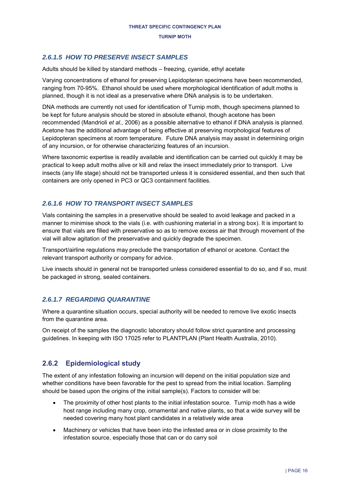## *2.6.1.5 HOW TO PRESERVE INSECT SAMPLES*

Adults should be killed by standard methods – freezing, cyanide, ethyl acetate

Varying concentrations of ethanol for preserving Lepidopteran specimens have been recommended, ranging from 70-95%. Ethanol should be used where morphological identification of adult moths is planned, though it is not ideal as a preservative where DNA analysis is to be undertaken.

DNA methods are currently not used for identification of Turnip moth, though specimens planned to be kept for future analysis should be stored in absolute ethanol, though acetone has been recommended (Mandrioli *et al.,* 2006) as a possible alternative to ethanol if DNA analysis is planned. Acetone has the additional advantage of being effective at preserving morphological features of Lepidopteran specimens at room temperature. Future DNA analysis may assist in determining origin of any incursion, or for otherwise characterizing features of an incursion.

Where taxonomic expertise is readily available and identification can be carried out quickly it may be practical to keep adult moths alive or kill and relax the insect immediately prior to transport. Live insects (any life stage) should not be transported unless it is considered essential, and then such that containers are only opened in PC3 or QC3 containment facilities.

### *2.6.1.6 HOW TO TRANSPORT INSECT SAMPLES*

Vials containing the samples in a preservative should be sealed to avoid leakage and packed in a manner to minimise shock to the vials (i.e. with cushioning material in a strong box). It is important to ensure that vials are filled with preservative so as to remove excess air that through movement of the vial will allow agitation of the preservative and quickly degrade the specimen.

Transport/airline regulations may preclude the transportation of ethanol or acetone. Contact the relevant transport authority or company for advice.

Live insects should in general not be transported unless considered essential to do so, and if so, must be packaged in strong, sealed containers.

### *2.6.1.7 REGARDING QUARANTINE*

Where a quarantine situation occurs, special authority will be needed to remove live exotic insects from the quarantine area.

On receipt of the samples the diagnostic laboratory should follow strict quarantine and processing guidelines. In keeping with ISO 17025 refer to PLANTPLAN (Plant Health Australia, 2010).

## <span id="page-15-0"></span>**2.6.2 Epidemiological study**

The extent of any infestation following an incursion will depend on the initial population size and whether conditions have been favorable for the pest to spread from the initial location. Sampling should be based upon the origins of the initial sample(s). Factors to consider will be:

- The proximity of other host plants to the initial infestation source. Turnip moth has a wide host range including many crop, ornamental and native plants, so that a wide survey will be needed covering many host plant candidates in a relatively wide area
- Machinery or vehicles that have been into the infested area or in close proximity to the infestation source, especially those that can or do carry soil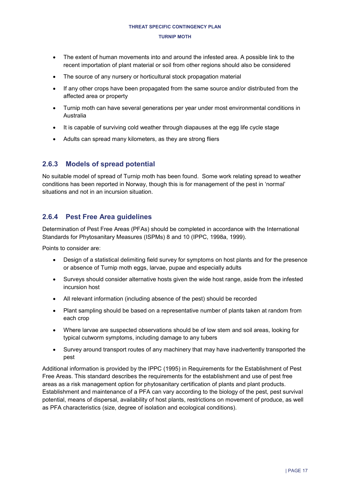- The extent of human movements into and around the infested area. A possible link to the recent importation of plant material or soil from other regions should also be considered
- The source of any nursery or horticultural stock propagation material
- If any other crops have been propagated from the same source and/or distributed from the affected area or property
- Turnip moth can have several generations per year under most environmental conditions in Australia
- It is capable of surviving cold weather through diapauses at the egg life cycle stage
- Adults can spread many kilometers, as they are strong fliers

## <span id="page-16-0"></span>**2.6.3 Models of spread potential**

No suitable model of spread of Turnip moth has been found. Some work relating spread to weather conditions has been reported in Norway, though this is for management of the pest in 'normal' situations and not in an incursion situation.

## <span id="page-16-1"></span>**2.6.4 Pest Free Area guidelines**

Determination of Pest Free Areas (PFAs) should be completed in accordance with the International Standards for Phytosanitary Measures (ISPMs) 8 and 10 (IPPC, 1998a, 1999).

Points to consider are:

- Design of a statistical delimiting field survey for symptoms on host plants and for the presence or absence of Turnip moth eggs, larvae, pupae and especially adults
- Surveys should consider alternative hosts given the wide host range, aside from the infested incursion host
- All relevant information (including absence of the pest) should be recorded
- Plant sampling should be based on a representative number of plants taken at random from each crop
- Where larvae are suspected observations should be of low stem and soil areas, looking for typical cutworm symptoms, including damage to any tubers
- Survey around transport routes of any machinery that may have inadvertently transported the pest

Additional information is provided by the IPPC (1995) in Requirements for the Establishment of Pest Free Areas. This standard describes the requirements for the establishment and use of pest free areas as a risk management option for phytosanitary certification of plants and plant products. Establishment and maintenance of a PFA can vary according to the biology of the pest, pest survival potential, means of dispersal, availability of host plants, restrictions on movement of produce, as well as PFA characteristics (size, degree of isolation and ecological conditions).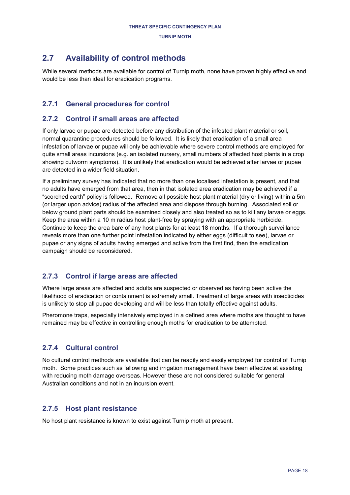## <span id="page-17-0"></span>**2.7 Availability of control methods**

While several methods are available for control of Turnip moth, none have proven highly effective and would be less than ideal for eradication programs.

## <span id="page-17-1"></span>**2.7.1 General procedures for control**

## <span id="page-17-2"></span>**2.7.2 Control if small areas are affected**

If only larvae or pupae are detected before any distribution of the infested plant material or soil, normal quarantine procedures should be followed. It is likely that eradication of a small area infestation of larvae or pupae will only be achievable where severe control methods are employed for quite small areas incursions (e.g. an isolated nursery, small numbers of affected host plants in a crop showing cutworm symptoms). It is unlikely that eradication would be achieved after larvae or pupae are detected in a wider field situation.

If a preliminary survey has indicated that no more than one localised infestation is present, and that no adults have emerged from that area, then in that isolated area eradication may be achieved if a "scorched earth" policy is followed. Remove all possible host plant material (dry or living) within a 5m (or larger upon advice) radius of the affected area and dispose through burning. Associated soil or below ground plant parts should be examined closely and also treated so as to kill any larvae or eggs. Keep the area within a 10 m radius host plant-free by spraying with an appropriate herbicide. Continue to keep the area bare of any host plants for at least 18 months. If a thorough surveillance reveals more than one further point infestation indicated by either eggs (difficult to see), larvae or pupae or any signs of adults having emerged and active from the first find, then the eradication campaign should be reconsidered.

## <span id="page-17-3"></span>**2.7.3 Control if large areas are affected**

Where large areas are affected and adults are suspected or observed as having been active the likelihood of eradication or containment is extremely small. Treatment of large areas with insecticides is unlikely to stop all pupae developing and will be less than totally effective against adults.

Pheromone traps, especially intensively employed in a defined area where moths are thought to have remained may be effective in controlling enough moths for eradication to be attempted.

## <span id="page-17-4"></span>**2.7.4 Cultural control**

No cultural control methods are available that can be readily and easily employed for control of Turnip moth. Some practices such as fallowing and irrigation management have been effective at assisting with reducing moth damage overseas. However these are not considered suitable for general Australian conditions and not in an incursion event.

## <span id="page-17-5"></span>**2.7.5 Host plant resistance**

No host plant resistance is known to exist against Turnip moth at present.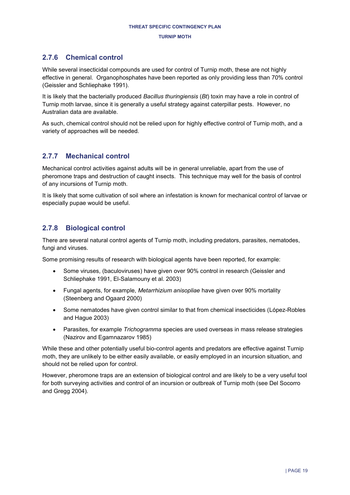## <span id="page-18-0"></span>**2.7.6 Chemical control**

While several insecticidal compounds are used for control of Turnip moth, these are not highly effective in general. Organophosphates have been reported as only providing less than 70% control (Geissler and Schliephake 1991).

It is likely that the bacterially produced *Bacillus thuringiensis* (*Bt*) toxin may have a role in control of Turnip moth larvae, since it is generally a useful strategy against caterpillar pests. However, no Australian data are available.

As such, chemical control should not be relied upon for highly effective control of Turnip moth, and a variety of approaches will be needed.

## <span id="page-18-1"></span>**2.7.7 Mechanical control**

Mechanical control activities against adults will be in general unreliable, apart from the use of pheromone traps and destruction of caught insects. This technique may well for the basis of control of any incursions of Turnip moth.

It is likely that some cultivation of soil where an infestation is known for mechanical control of larvae or especially pupae would be useful.

## <span id="page-18-2"></span>**2.7.8 Biological control**

There are several natural control agents of Turnip moth, including predators, parasites, nematodes, fungi and viruses.

Some promising results of research with biological agents have been reported, for example:

- Some viruses, (baculoviruses) have given over 90% control in research (Geissler and Schliephake 1991, El-Salamouny et al. 2003)
- Fungal agents, for example, *Metarrhizium anisopliae* have given over 90% mortality (Steenberg and Ogaard 2000)
- Some nematodes have given control similar to that from chemical insecticides (López-Robles and Hague 2003)
- Parasites, for example *Trichogramma* species are used overseas in mass release strategies (Nazirov and Egamnazarov 1985)

While these and other potentially useful bio-control agents and predators are effective against Turnip moth, they are unlikely to be either easily available, or easily employed in an incursion situation, and should not be relied upon for control.

However, pheromone traps are an extension of biological control and are likely to be a very useful tool for both surveying activities and control of an incursion or outbreak of Turnip moth (see Del Socorro and Gregg 2004).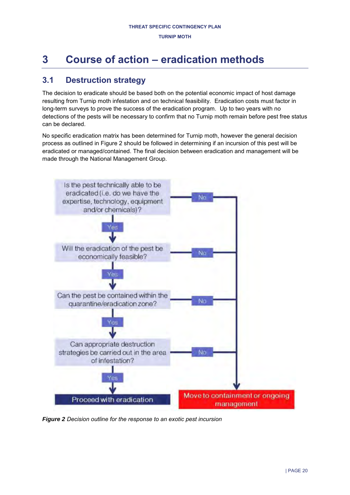# <span id="page-19-0"></span>**3 Course of action – eradication methods**

## <span id="page-19-1"></span>**3.1 Destruction strategy**

The decision to eradicate should be based both on the potential economic impact of host damage resulting from Turnip moth infestation and on technical feasibility. Eradication costs must factor in long-term surveys to prove the success of the eradication program. Up to two years with no detections of the pests will be necessary to confirm that no Turnip moth remain before pest free status can be declared.

No specific eradication matrix has been determined for Turnip moth, however the general decision process as outlined in [Figure 2](#page-19-2) should be followed in determining if an incursion of this pest will be eradicated or managed/contained. The final decision between eradication and management will be made through the National Management Group.



<span id="page-19-2"></span>*Figure 2 Decision outline for the response to an exotic pest incursion*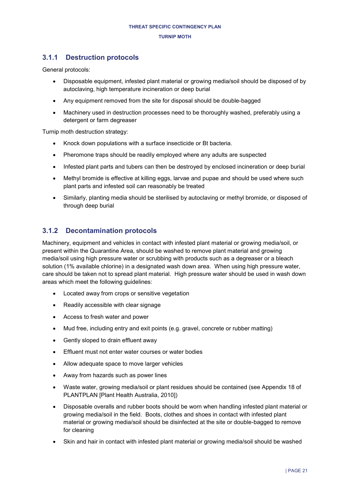## <span id="page-20-0"></span>**3.1.1 Destruction protocols**

General protocols:

- Disposable equipment, infested plant material or growing media/soil should be disposed of by autoclaving, high temperature incineration or deep burial
- Any equipment removed from the site for disposal should be double-bagged
- Machinery used in destruction processes need to be thoroughly washed, preferably using a detergent or farm degreaser

Turnip moth destruction strategy:

- Knock down populations with a surface insecticide or Bt bacteria.
- Pheromone traps should be readily employed where any adults are suspected
- Infested plant parts and tubers can then be destroyed by enclosed incineration or deep burial
- Methyl bromide is effective at killing eggs, larvae and pupae and should be used where such plant parts and infested soil can reasonably be treated
- Similarly, planting media should be sterilised by autoclaving or methyl bromide, or disposed of through deep burial

## <span id="page-20-1"></span>**3.1.2 Decontamination protocols**

Machinery, equipment and vehicles in contact with infested plant material or growing media/soil, or present within the Quarantine Area, should be washed to remove plant material and growing media/soil using high pressure water or scrubbing with products such as a degreaser or a bleach solution (1% available chlorine) in a designated wash down area. When using high pressure water, care should be taken not to spread plant material. High pressure water should be used in wash down areas which meet the following guidelines:

- Located away from crops or sensitive vegetation
- Readily accessible with clear signage
- Access to fresh water and power
- Mud free, including entry and exit points (e.g. gravel, concrete or rubber matting)
- Gently sloped to drain effluent away
- **Effluent must not enter water courses or water bodies**
- Allow adequate space to move larger vehicles
- Away from hazards such as power lines
- Waste water, growing media/soil or plant residues should be contained (see Appendix 18 of PLANTPLAN [Plant Health Australia, 2010])
- Disposable overalls and rubber boots should be worn when handling infested plant material or growing media/soil in the field. Boots, clothes and shoes in contact with infested plant material or growing media/soil should be disinfected at the site or double-bagged to remove for cleaning
- Skin and hair in contact with infested plant material or growing media/soil should be washed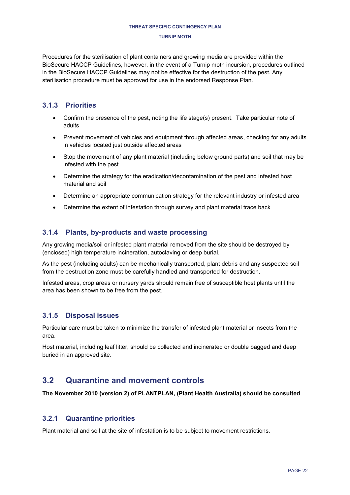#### **TURNIP MOTH**

Procedures for the sterilisation of plant containers and growing media are provided within the BioSecure HACCP Guidelines, however, in the event of a Turnip moth incursion, procedures outlined in the BioSecure HACCP Guidelines may not be effective for the destruction of the pest. Any sterilisation procedure must be approved for use in the endorsed Response Plan.

## <span id="page-21-0"></span>**3.1.3 Priorities**

- Confirm the presence of the pest, noting the life stage(s) present. Take particular note of adults
- Prevent movement of vehicles and equipment through affected areas, checking for any adults in vehicles located just outside affected areas
- Stop the movement of any plant material (including below ground parts) and soil that may be infested with the pest
- Determine the strategy for the eradication/decontamination of the pest and infested host material and soil
- Determine an appropriate communication strategy for the relevant industry or infested area
- Determine the extent of infestation through survey and plant material trace back

## <span id="page-21-1"></span>**3.1.4 Plants, by-products and waste processing**

Any growing media/soil or infested plant material removed from the site should be destroyed by (enclosed) high temperature incineration, autoclaving or deep burial.

As the pest (including adults) can be mechanically transported, plant debris and any suspected soil from the destruction zone must be carefully handled and transported for destruction.

Infested areas, crop areas or nursery yards should remain free of susceptible host plants until the area has been shown to be free from the pest.

## <span id="page-21-2"></span>**3.1.5 Disposal issues**

Particular care must be taken to minimize the transfer of infested plant material or insects from the area.

Host material, including leaf litter, should be collected and incinerated or double bagged and deep buried in an approved site.

## <span id="page-21-3"></span>**3.2 Quarantine and movement controls**

**The November 2010 (version 2) of PLANTPLAN, (Plant Health Australia) should be consulted** 

## <span id="page-21-4"></span>**3.2.1 Quarantine priorities**

Plant material and soil at the site of infestation is to be subject to movement restrictions.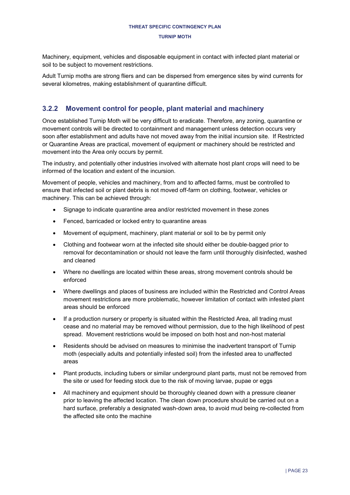Machinery, equipment, vehicles and disposable equipment in contact with infected plant material or soil to be subject to movement restrictions.

Adult Turnip moths are strong fliers and can be dispersed from emergence sites by wind currents for several kilometres, making establishment of quarantine difficult.

## <span id="page-22-0"></span>**3.2.2 Movement control for people, plant material and machinery**

Once established Turnip Moth will be very difficult to eradicate. Therefore, any zoning, quarantine or movement controls will be directed to containment and management unless detection occurs very soon after establishment and adults have not moved away from the initial incursion site. If Restricted or Quarantine Areas are practical, movement of equipment or machinery should be restricted and movement into the Area only occurs by permit.

The industry, and potentially other industries involved with alternate host plant crops will need to be informed of the location and extent of the incursion.

Movement of people, vehicles and machinery, from and to affected farms, must be controlled to ensure that infected soil or plant debris is not moved off-farm on clothing, footwear, vehicles or machinery. This can be achieved through:

- Signage to indicate quarantine area and/or restricted movement in these zones
- Fenced, barricaded or locked entry to quarantine areas
- Movement of equipment, machinery, plant material or soil to be by permit only
- Clothing and footwear worn at the infected site should either be double-bagged prior to removal for decontamination or should not leave the farm until thoroughly disinfected, washed and cleaned
- Where no dwellings are located within these areas, strong movement controls should be enforced
- Where dwellings and places of business are included within the Restricted and Control Areas movement restrictions are more problematic, however limitation of contact with infested plant areas should be enforced
- If a production nursery or property is situated within the Restricted Area, all trading must cease and no material may be removed without permission, due to the high likelihood of pest spread. Movement restrictions would be imposed on both host and non-host material
- Residents should be advised on measures to minimise the inadvertent transport of Turnip moth (especially adults and potentially infested soil) from the infested area to unaffected areas
- Plant products, including tubers or similar underground plant parts, must not be removed from the site or used for feeding stock due to the risk of moving larvae, pupae or eggs
- All machinery and equipment should be thoroughly cleaned down with a pressure cleaner prior to leaving the affected location. The clean down procedure should be carried out on a hard surface, preferably a designated wash-down area, to avoid mud being re-collected from the affected site onto the machine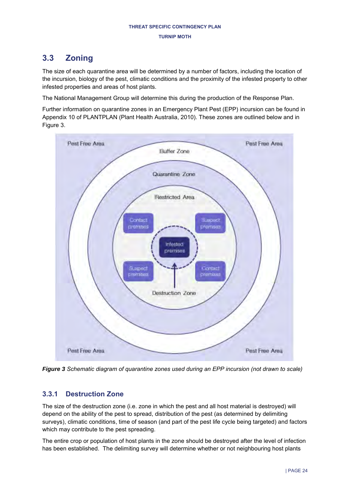## <span id="page-23-0"></span>**3.3 Zoning**

The size of each quarantine area will be determined by a number of factors, including the location of the incursion, biology of the pest, climatic conditions and the proximity of the infested property to other infested properties and areas of host plants.

The National Management Group will determine this during the production of the Response Plan.

Further information on quarantine zones in an Emergency Plant Pest (EPP) incursion can be found in Appendix 10 of PLANTPLAN (Plant Health Australia, 2010). These zones are outlined below and in [Figure 3.](#page-23-2)



<span id="page-23-2"></span>*Figure 3 Schematic diagram of quarantine zones used during an EPP incursion (not drawn to scale)* 

## <span id="page-23-1"></span>**3.3.1 Destruction Zone**

The size of the destruction zone (i.e. zone in which the pest and all host material is destroyed) will depend on the ability of the pest to spread, distribution of the pest (as determined by delimiting surveys), climatic conditions, time of season (and part of the pest life cycle being targeted) and factors which may contribute to the pest spreading.

The entire crop or population of host plants in the zone should be destroyed after the level of infection has been established. The delimiting survey will determine whether or not neighbouring host plants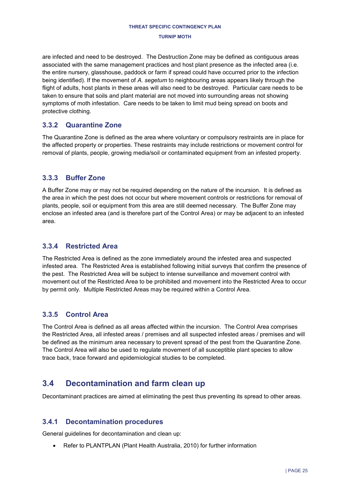#### **TURNIP MOTH**

are infected and need to be destroyed. The Destruction Zone may be defined as contiguous areas associated with the same management practices and host plant presence as the infected area (i.e. the entire nursery, glasshouse, paddock or farm if spread could have occurred prior to the infection being identified). If the movement of *A. segetum* to neighbouring areas appears likely through the flight of adults, host plants in these areas will also need to be destroyed. Particular care needs to be taken to ensure that soils and plant material are not moved into surrounding areas not showing symptoms of moth infestation. Care needs to be taken to limit mud being spread on boots and protective clothing.

## <span id="page-24-0"></span>**3.3.2 Quarantine Zone**

The Quarantine Zone is defined as the area where voluntary or compulsory restraints are in place for the affected property or properties. These restraints may include restrictions or movement control for removal of plants, people, growing media/soil or contaminated equipment from an infested property.

## <span id="page-24-1"></span>**3.3.3 Buffer Zone**

A Buffer Zone may or may not be required depending on the nature of the incursion. It is defined as the area in which the pest does not occur but where movement controls or restrictions for removal of plants, people, soil or equipment from this area are still deemed necessary. The Buffer Zone may enclose an infested area (and is therefore part of the Control Area) or may be adjacent to an infested area.

## <span id="page-24-2"></span>**3.3.4 Restricted Area**

The Restricted Area is defined as the zone immediately around the infested area and suspected infested area. The Restricted Area is established following initial surveys that confirm the presence of the pest. The Restricted Area will be subject to intense surveillance and movement control with movement out of the Restricted Area to be prohibited and movement into the Restricted Area to occur by permit only. Multiple Restricted Areas may be required within a Control Area.

## <span id="page-24-3"></span>**3.3.5 Control Area**

The Control Area is defined as all areas affected within the incursion. The Control Area comprises the Restricted Area, all infested areas / premises and all suspected infested areas / premises and will be defined as the minimum area necessary to prevent spread of the pest from the Quarantine Zone. The Control Area will also be used to regulate movement of all susceptible plant species to allow trace back, trace forward and epidemiological studies to be completed.

## <span id="page-24-4"></span>**3.4 Decontamination and farm clean up**

Decontaminant practices are aimed at eliminating the pest thus preventing its spread to other areas.

## <span id="page-24-5"></span>**3.4.1 Decontamination procedures**

General guidelines for decontamination and clean up:

Refer to PLANTPLAN (Plant Health Australia, 2010) for further information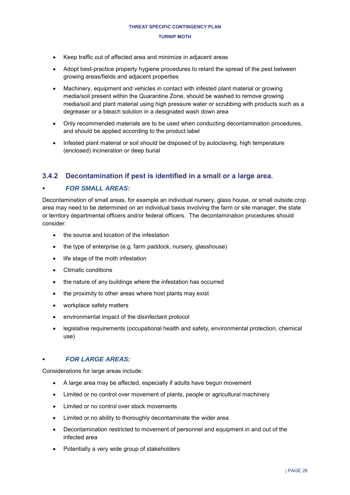- Keep traffic out of affected area and minimize in adjacent areas
- Adopt best-practice property hygiene procedures to retard the spread of the pest between growing areas/fields and adjacent properties
- Machinery, equipment and vehicles in contact with infested plant material or growing media/soil present within the Quarantine Zone, should be washed to remove growing media/soil and plant material using high pressure water or scrubbing with products such as a degreaser or a bleach solution in a designated wash down area
- Only recommended materials are to be used when conducting decontamination procedures, and should be applied according to the product label
- Infested plant material or soil should be disposed of by autoclaving, high temperature (enclosed) incineration or deep burial

## <span id="page-25-0"></span>**3.4.2 Decontamination if pest is identified in a small or a large area.**

### *FOR SMALL AREAS:*

Decontamination of small areas, for example an individual nursery, glass house, or small outside crop area may need to be determined on an individual basis involving the farm or site manager, the state or territory departmental officers and/or federal officers. The decontamination procedures should consider:

- the source and location of the infestation
- the type of enterprise (e.g. farm paddock, nursery, glasshouse)
- life stage of the moth infestation
- Climatic conditions
- the nature of any buildings where the infestation has occurred
- the proximity to other areas where host plants may exist
- workplace safety matters
- environmental impact of the disinfectant protocol
- legislative requirements (occupational health and safety, environmental protection, chemical use)

### *FOR LARGE AREAS:*

Considerations for large areas include:

- A large area may be affected, especially if adults have begun movement
- Limited or no control over movement of plants, people or agricultural machinery
- Limited or no control over stock movements
- Limited or no ability to thoroughly decontaminate the wider area
- Decontamination restricted to movement of personnel and equipment in and out of the infected area
- Potentially a very wide group of stakeholders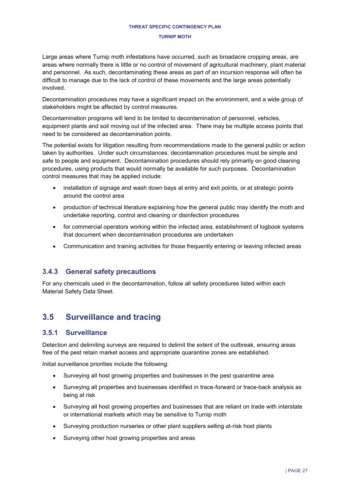#### **TURNIP MOTH**

Large areas where Turnip moth infestations have occurred, such as broadacre cropping areas, are areas where normally there is little or no control of movement of agricultural machinery, plant material and personnel. As such, decontaminating these areas as part of an incursion response will often be difficult to manage due to the lack of control of these movements and the large areas potentially involved.

Decontamination procedures may have a significant impact on the environment, and a wide group of stakeholders might be affected by control measures.

Decontamination programs will tend to be limited to decontamination of personnel, vehicles, equipment plants and soil moving out of the infected area. There may be multiple access points that need to be considered as decontamination points.

The potential exists for litigation resulting from recommendations made to the general public or action taken by authorities. Under such circumstances, decontamination procedures must be simple and safe to people and equipment. Decontamination procedures should rely primarily on good cleaning procedures, using products that would normally be available for such purposes. Decontamination control measures that may be applied include:

- installation of signage and wash down bays at entry and exit points, or at strategic points around the control area
- production of technical literature explaining how the general public may identify the moth and undertake reporting, control and cleaning or disinfection procedures
- for commercial operators working within the infected area, establishment of logbook systems that document when decontamination procedures are undertaken
- Communication and training activities for those frequently entering or leaving infected areas

## <span id="page-26-0"></span>**3.4.3 General safety precautions**

For any chemicals used in the decontamination, follow all safety procedures listed within each Material Safety Data Sheet.

## <span id="page-26-1"></span>**3.5 Surveillance and tracing**

## <span id="page-26-2"></span>**3.5.1 Surveillance**

Detection and delimiting surveys are required to delimit the extent of the outbreak, ensuring areas free of the pest retain market access and appropriate quarantine zones are established.

Initial surveillance priorities include the following:

- Surveying all host growing properties and businesses in the pest quarantine area
- Surveying all properties and businesses identified in trace-forward or trace-back analysis as being at risk
- Surveying all host growing properties and businesses that are reliant on trade with interstate or international markets which may be sensitive to Turnip moth
- Surveying production nurseries or other plant suppliers selling at-risk host plants
- Surveying other host growing properties and areas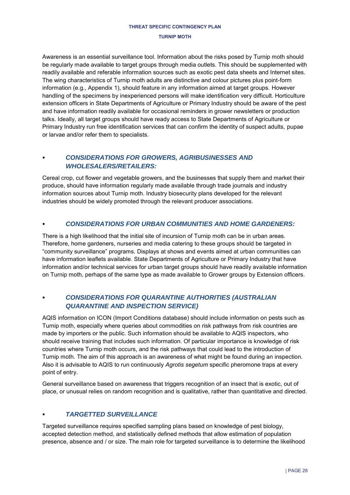Awareness is an essential surveillance tool. Information about the risks posed by Turnip moth should be regularly made available to target groups through media outlets. This should be supplemented with readily available and referable information sources such as exotic pest data sheets and Internet sites. The wing characteristics of Turnip moth adults are distinctive and colour pictures plus point-form information (e.g., Appendix 1), should feature in any information aimed at target groups. However handling of the specimens by inexperienced persons will make identification very difficult. Horticulture extension officers in State Departments of Agriculture or Primary Industry should be aware of the pest and have information readily available for occasional reminders in grower newsletters or production talks. Ideally, all target groups should have ready access to State Departments of Agriculture or Primary Industry run free identification services that can confirm the identity of suspect adults, pupae or larvae and/or refer them to specialists.

## *CONSIDERATIONS FOR GROWERS, AGRIBUSINESSES AND WHOLESALERS/RETAILERS:*

Cereal crop, cut flower and vegetable growers, and the businesses that supply them and market their produce, should have information regularly made available through trade journals and industry information sources about Turnip moth. Industry biosecurity plans developed for the relevant industries should be widely promoted through the relevant producer associations.

### *CONSIDERATIONS FOR URBAN COMMUNITIES AND HOME GARDENERS:*

There is a high likelihood that the initial site of incursion of Turnip moth can be in urban areas. Therefore, home gardeners, nurseries and media catering to these groups should be targeted in "community surveillance" programs. Displays at shows and events aimed at urban communities can have information leaflets available. State Departments of Agriculture or Primary Industry that have information and/or technical services for urban target groups should have readily available information on Turnip moth, perhaps of the same type as made available to Grower groups by Extension officers.

## *CONSIDERATIONS FOR QUARANTINE AUTHORITIES (AUSTRALIAN QUARANTINE AND INSPECTION SERVICE)*

AQIS information on ICON (Import Conditions database) should include information on pests such as Turnip moth, especially where queries about commodities on risk pathways from risk countries are made by importers or the public. Such information should be available to AQIS inspectors, who should receive training that includes such information. Of particular importance is knowledge of risk countries where Turnip moth occurs, and the risk pathways that could lead to the introduction of Turnip moth. The aim of this approach is an awareness of what might be found during an inspection. Also it is advisable to AQIS to run continuously *Agrotis segetum* specific pheromone traps at every point of entry.

General surveillance based on awareness that triggers recognition of an insect that is exotic, out of place, or unusual relies on random recognition and is qualitative, rather than quantitative and directed.

## *TARGETTED SURVEILLANCE*

Targeted surveillance requires specified sampling plans based on knowledge of pest biology, accepted detection method, and statistically defined methods that allow estimation of population presence, absence and / or size. The main role for targeted surveillance is to determine the likelihood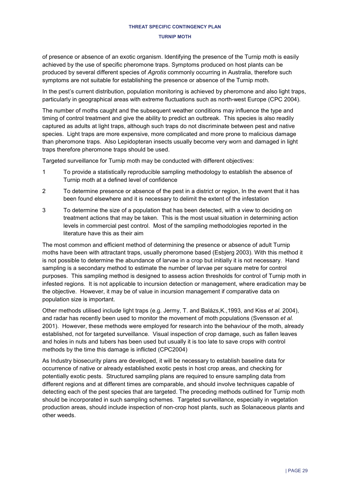of presence or absence of an exotic organism. Identifying the presence of the Turnip moth is easily achieved by the use of specific pheromone traps. Symptoms produced on host plants can be produced by several different species of *Agrotis* commonly occurring in Australia, therefore such symptoms are not suitable for establishing the presence or absence of the Turnip moth.

In the pest's current distribution, population monitoring is achieved by pheromone and also light traps, particularly in geographical areas with extreme fluctuations such as north-west Europe (CPC 2004).

The number of moths caught and the subsequent weather conditions may influence the type and timing of control treatment and give the ability to predict an outbreak. This species is also readily captured as adults at light traps, although such traps do not discriminate between pest and native species. Light traps are more expensive, more complicated and more prone to malicious damage than pheromone traps. Also Lepidopteran insects usually become very worn and damaged in light traps therefore pheromone traps should be used.

Targeted surveillance for Turnip moth may be conducted with different objectives:

- 1 To provide a statistically reproducible sampling methodology to establish the absence of Turnip moth at a defined level of confidence
- 2 To determine presence or absence of the pest in a district or region, In the event that it has been found elsewhere and it is necessary to delimit the extent of the infestation
- 3 To determine the size of a population that has been detected, with a view to deciding on treatment actions that may be taken. This is the most usual situation in determining action levels in commercial pest control. Most of the sampling methodologies reported in the literature have this as their aim

The most common and efficient method of determining the presence or absence of adult Turnip moths have been with attractant traps, usually pheromone based (Esbjerg 2003). With this method it is not possible to determine the abundance of larvae in a crop but initially it is not necessary. Hand sampling is a secondary method to estimate the number of larvae per square metre for control purposes. This sampling method is designed to assess action thresholds for control of Turnip moth in infested regions. It is not applicable to incursion detection or management, where eradication may be the objective. However, it may be of value in incursion management if comparative data on population size is important.

Other methods utilised include light traps (e.g. Jermy, T. and Balázs,K.,1993, and Kiss *et al.* 2004), and radar has recently been used to monitor the movement of moth populations (Svensson *et al.*  2001). However, these methods were employed for research into the behaviour of the moth, already established, not for targeted surveillance. Visual inspection of crop damage, such as fallen leaves and holes in nuts and tubers has been used but usually it is too late to save crops with control methods by the time this damage is inflicted (CPC2004)

As Industry biosecurity plans are developed, it will be necessary to establish baseline data for occurrence of native or already established exotic pests in host crop areas, and checking for potentially exotic pests. Structured sampling plans are required to ensure sampling data from different regions and at different times are comparable, and should involve techniques capable of detecting each of the pest species that are targeted. The preceding methods outlined for Turnip moth should be incorporated in such sampling schemes. Targeted surveillance, especially in vegetation production areas, should include inspection of non-crop host plants, such as Solanaceous plants and other weeds.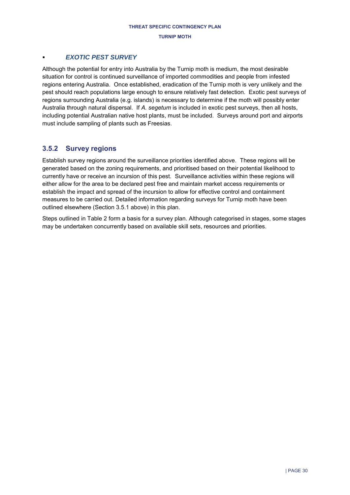### *EXOTIC PEST SURVEY*

Although the potential for entry into Australia by the Turnip moth is medium, the most desirable situation for control is continued surveillance of imported commodities and people from infested regions entering Australia. Once established, eradication of the Turnip moth is very unlikely and the pest should reach populations large enough to ensure relatively fast detection. Exotic pest surveys of regions surrounding Australia (e.g. islands) is necessary to determine if the moth will possibly enter Australia through natural dispersal. If *A. segetum* is included in exotic pest surveys, then all hosts, including potential Australian native host plants, must be included. Surveys around port and airports must include sampling of plants such as Freesias.

## <span id="page-29-0"></span>**3.5.2 Survey regions**

Establish survey regions around the surveillance priorities identified above. These regions will be generated based on the zoning requirements, and prioritised based on their potential likelihood to currently have or receive an incursion of this pest. Surveillance activities within these regions will either allow for the area to be declared pest free and maintain market access requirements or establish the impact and spread of the incursion to allow for effective control and containment measures to be carried out. Detailed information regarding surveys for Turnip moth have been outlined elsewhere (Section [3.5.1](#page-26-2) above) in this plan.

Steps outlined in [Table 2](#page-30-1) form a basis for a survey plan. Although categorised in stages, some stages may be undertaken concurrently based on available skill sets, resources and priorities.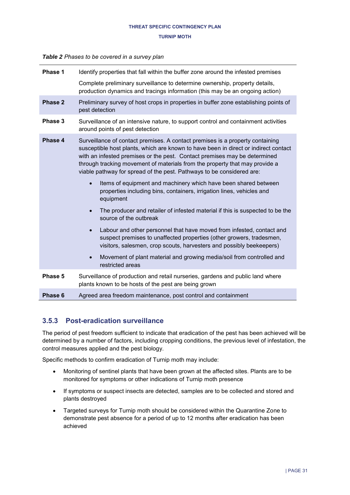#### **TURNIP MOTH**

#### <span id="page-30-1"></span>*Table 2 Phases to be covered in a survey plan*

| Phase 1 | Identify properties that fall within the buffer zone around the infested premises                                                                                                                                                                                                                                                                                                                                                                                                         |  |  |
|---------|-------------------------------------------------------------------------------------------------------------------------------------------------------------------------------------------------------------------------------------------------------------------------------------------------------------------------------------------------------------------------------------------------------------------------------------------------------------------------------------------|--|--|
|         | Complete preliminary surveillance to determine ownership, property details,<br>production dynamics and tracings information (this may be an ongoing action)                                                                                                                                                                                                                                                                                                                               |  |  |
| Phase 2 | Preliminary survey of host crops in properties in buffer zone establishing points of<br>pest detection                                                                                                                                                                                                                                                                                                                                                                                    |  |  |
| Phase 3 | Surveillance of an intensive nature, to support control and containment activities<br>around points of pest detection                                                                                                                                                                                                                                                                                                                                                                     |  |  |
| Phase 4 | Surveillance of contact premises. A contact premises is a property containing<br>susceptible host plants, which are known to have been in direct or indirect contact<br>with an infested premises or the pest. Contact premises may be determined<br>through tracking movement of materials from the property that may provide a<br>viable pathway for spread of the pest. Pathways to be considered are:<br>Items of equipment and machinery which have been shared between<br>$\bullet$ |  |  |
|         | properties including bins, containers, irrigation lines, vehicles and<br>equipment                                                                                                                                                                                                                                                                                                                                                                                                        |  |  |
|         | The producer and retailer of infested material if this is suspected to be the<br>source of the outbreak                                                                                                                                                                                                                                                                                                                                                                                   |  |  |
|         | Labour and other personnel that have moved from infested, contact and<br>$\bullet$<br>suspect premises to unaffected properties (other growers, tradesmen,<br>visitors, salesmen, crop scouts, harvesters and possibly beekeepers)                                                                                                                                                                                                                                                        |  |  |
|         | Movement of plant material and growing media/soil from controlled and<br>$\bullet$<br>restricted areas                                                                                                                                                                                                                                                                                                                                                                                    |  |  |
| Phase 5 | Surveillance of production and retail nurseries, gardens and public land where<br>plants known to be hosts of the pest are being grown                                                                                                                                                                                                                                                                                                                                                    |  |  |
| Phase 6 | Agreed area freedom maintenance, post control and containment                                                                                                                                                                                                                                                                                                                                                                                                                             |  |  |

## <span id="page-30-0"></span>**3.5.3 Post-eradication surveillance**

The period of pest freedom sufficient to indicate that eradication of the pest has been achieved will be determined by a number of factors, including cropping conditions, the previous level of infestation, the control measures applied and the pest biology.

Specific methods to confirm eradication of Turnip moth may include:

- Monitoring of sentinel plants that have been grown at the affected sites. Plants are to be monitored for symptoms or other indications of Turnip moth presence
- If symptoms or suspect insects are detected, samples are to be collected and stored and plants destroyed
- Targeted surveys for Turnip moth should be considered within the Quarantine Zone to demonstrate pest absence for a period of up to 12 months after eradication has been achieved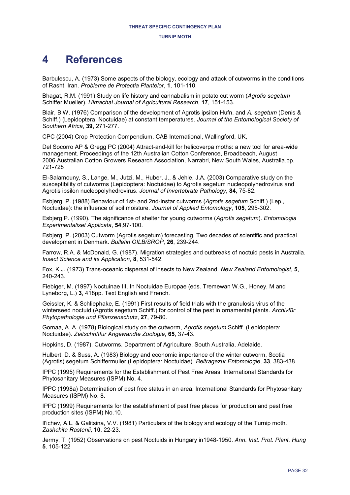# <span id="page-31-0"></span>**4 References**

Barbulescu, A. (1973) Some aspects of the biology, ecology and attack of cutworms in the conditions of Rasht, Iran. *Probleme de Protectia Plantelor*, **1**, 101-110.

Bhagat, R.M. (1991) Study on life history and cannabalism in potato cut worm (*Agrotis segetum*  Schiffer Mueller). *Himachal Journal of Agricultural Research*, **17**, 151-153.

Blair, B.W. (1976) Comparison of the development of Agrotis ipsilon Hufn. and *A. segetum* (Denis & Schiff.) (Lepidoptera: Noctuidae) at constant temperatures. *Journal of the Entomological Society of Southern Africa*, **39**, 271-277.

CPC (2004) Crop Protection Compendium. CAB International, Wallingford, UK,

Del Socorro AP & Gregg PC (2004) Attract-and-kill for helicoverpa moths: a new tool for area-wide management. Proceedings of the 12th Australian Cotton Conference, Broadbeach, August 2006.Australian Cotton Growers Research Association, Narrabri, New South Wales, Australia.pp. 721-728

El-Salamouny, S., Lange, M., Jutzi, M., Huber, J., & Jehle, J.A. (2003) Comparative study on the susceptibility of cutworms (Lepidoptera: Noctuidae) to Agrotis segetum nucleopolyhedrovirus and Agrotis ipsilon nucleopolyhedrovirus. *Journal of Invertebrate Pathology*, **84**, 75-82.

Esbjerg, P. (1988) Behaviour of 1st- and 2nd-instar cutworms (*Agrotis segetum* Schiff.) (Lep., Noctuidae): the influence of soil moisture. *Journal of Applied Entomology*, **105**, 295-302.

Esbjerg,P. (1990). The significance of shelter for young cutworms (*Agrotis segetum*). *Entomologia Experimentaliset Applicata*, **54**,97-100.

Esbjerg, P. (2003) Cutworm (Agrotis segetum) forecasting. Two decades of scientific and practical development in Denmark. *Bulletin OILB/SROP*, **26**, 239-244.

Farrow, R.A. & McDonald, G. (1987). Migration strategies and outbreaks of noctuid pests in Australia. *Insect Science and its Application*, **8**, 531-542.

Fox, K.J. (1973) Trans-oceanic dispersal of insects to New Zealand. *New Zealand Entomologist*, **5**, 240-243.

Fiebiger, M. (1997) Noctuinae III. In Noctuidae Europae (eds. Tremewan W.G., Honey, M and Lyneborg, L.) **3**, 418pp. Text English and French.

Geissler, K. & Schliephake, E. (1991) First results of field trials with the granulosis virus of the winterseed noctuid (Agrotis segetum Schiff.) for control of the pest in ornamental plants. *Archivfür Phytopathologie und Pflanzenschutz*, **27**, 79-80.

Gomaa, A. A. (1978) Biological study on the cutworm, *Agrotis segetum* Schiff. (Lepidoptera: Noctuidae). *Zeitschriftfur Angewandte Zoologie*, **65**, 37-43.

Hopkins, D. (1987). Cutworms. Department of Agriculture, South Australia, Adelaide.

Hulbert, D. & Suss, A. (1983) Biology and economic importance of the winter cutworm, Scotia (Agrotis) segetum Schiffermuller (Lepidoptera: Noctuidae). *Beitragezur Entomologie*, **33**, 383-438.

IPPC (1995) Requirements for the Establishment of Pest Free Areas. International Standards for Phytosanitary Measures (ISPM) No. 4.

IPPC (1998a) Determination of pest free status in an area. International Standards for Phytosanitary Measures (ISPM) No. 8.

IPPC (1999) Requirements for the establishment of pest free places for production and pest free production sites (ISPM) No.10.

Il'ichev, A.L. & Galitsina, V.V. (1981) Particulars of the biology and ecology of the Turnip moth. *Zashchita Rastenii*, **10**, 22-23.

Jermy, T. (1952) Observations on pest Noctuids in Hungary in1948-1950. *Ann. Inst. Prot. Plant. Hung*  **5**. 105-122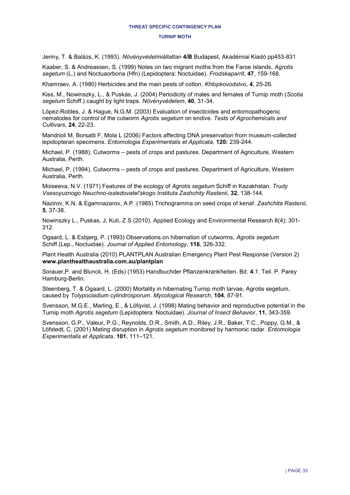Jermy, T. & Balázs, K. (1993). *Növényvédelmiállattan* **4/B** Budapest, Akadémiai Kiadó pp453-831

Kaaber, S. & Andreassen, S. (1999) Notes on two migrant moths from the Faroe Islands, *Agrotis segetum* (L.) and Noctuaorbona (Hfn) (Lepidoptera: Noctuidae). *Frodskaparrit*, **47**, 159-168.

Khamraev, A. (1980) Herbicides and the main pests of cotton. *Khlopkovodstvo*, **4**, 25-26.

Kiss, M., Nowinszky, L., & Puskás, J. (2004) Periodicity of males and females of Turnip moth (*Scotia segetum* Schiff.) caught by light traps. *Növényvédelem*, **40**, 31-34.

López-Robles, J. & Hague, N.G.M. (2003) Evaluation of insecticides and entomopathogenic nematodes for control of the cutworm *Agrotis segetum* on endive. *Tests of Agrochemicals and Cultivars*, **24**, 22-23.

Mandrioli M, Borsatti F, Mola L (2006) Factors affecting DNA preservation from museum-collected lepidopteran specimens. *Entomologia Experimentalis et Applicata,* **120:** 239-244.

Michael, P. (1988). Cutworms – pests of crops and pastures. Department of Agriculture, Western Australia, Perth.

Michael, P. (1994). Cutworms – pests of crops and pastures. Department of Agriculture, Western Australia, Perth.

Moiseeva, N.V. (1971) Features of the ecology of *Agrotis segetum* Schiff in Kazakhstan. *Trudy Vsesoyuznogo Nauchno-issledovatel'skogo Instituta Zashchity Rastenii*, **32**, 138-144.

Nazirov, K.N. & Egamnazarov, A.P. (1985) Trichogramma on seed crops of kenaf. *Zashchita Rastenii*, **5**, 37-38.

Nowinszky L., Puskas, J, Kuti, Z S (2010). Applied Ecology and Environmental Research 8(4): 301- 312.

Ogaard, L. & Esbjerg, P. (1993) Observations on hibernation of cutworms, *Agrotis segetum* Schiff.(Lep., Noctuidae). *Journal of Applied Entomology*, **116**, 326-332.

Plant Health Australia (2010) PLANTPLAN Australian Emergency Plant Pest Response (Version 2) **[www.planthealthaustralia.com.au/plantplan](http://www.planthealthaustralia.com.au/plantplan)**

Sorauer,P. and Blunck, H. (Eds) (1953) Handbuchder Pflanzenkrankheiten. Bd. **4**.1. Teil. P. Parey Hamburg-Berlin.

Steenberg, T. & Ogaard, L. (2000) Mortality in hibernating Turnip moth larvae, Agrotis segetum, caused by *Tolypocladium cylindrosporum*. *Mycological Research*, **104**, 87-91.

Svensson, M.G.E., Marling, E., & Löfqvist, J. (1998) Mating behavior and reproductive potential in the Turnip moth *Agrotis segetum* (Lepidoptera: Noctuidae). *Journal of Insect Behavior*, **11**, 343-359.

Svensson, G.P., Valeur, P.G., Reynolds, D.R., Smith, A.D., Riley, J.R., Baker, T.C., Poppy, G.M., & Löfstedt, C. (2001) Mating disruption in *Agrotis segetum* monitored by harmonic radar. *Entomologia Experimentalis et Applicata*, **101**, 111–121.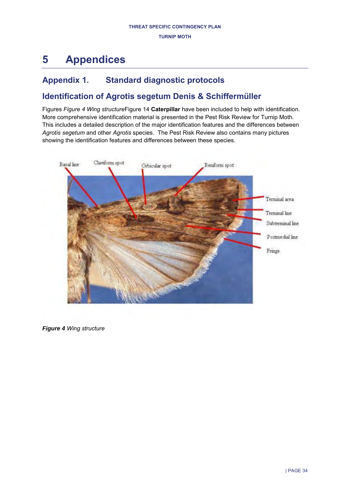# <span id="page-33-0"></span>**5 Appendices**

## <span id="page-33-1"></span>**Appendix 1. Standard diagnostic protocols**

## <span id="page-33-2"></span>**Identification of Agrotis segetum Denis & Schiffermüller**

Figures *[Figure 4 Wing structure](#page-33-3)*Figure 14 **[Caterpillar](#page-33-3)** have been included to help with identification. More comprehensive identification material is presented in the Pest Risk Review for Turnip Moth. This includes a detailed description of the major identification features and the differences between *Agrotis segetum* and other *Agrotis* species. The Pest Risk Review also contains many pictures showing the identification features and differences between these species.



<span id="page-33-3"></span>*Figure 4 Wing structure*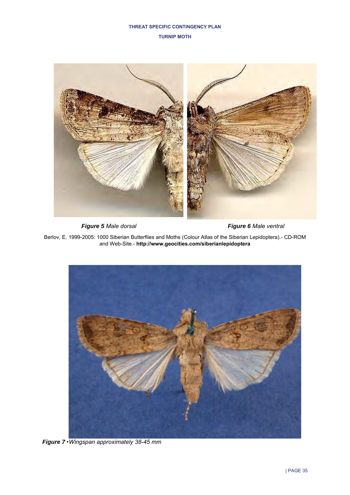

*Figure 5 Male dorsal Figure 6 Male ventral* 

Berlov, E. 1999-2005: 1000 Siberian Butterflies and Moths (Colour Atlas of the Siberian Lepidoptera).- CD-ROM and Web-Site.- **<http://www.geocities.com/siberianlepidoptera>**



*Figure 7 •Wingspan approximately 38-45 mm*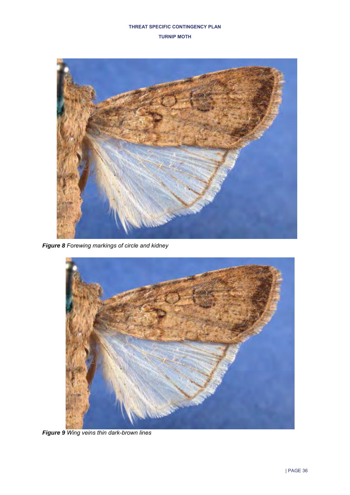

*Figure 8 Forewing markings of circle and kidney*



*Figure 9 Wing veins thin dark-brown lines*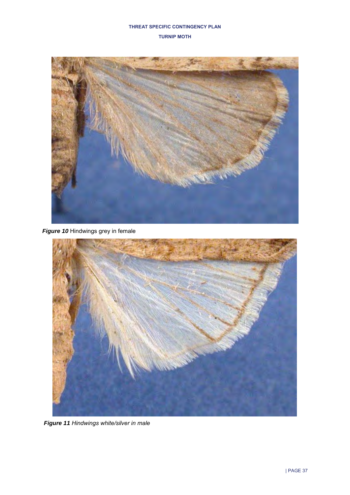

*Figure 10* Hindwings grey in female



*Figure 11 Hindwings white/silver in male*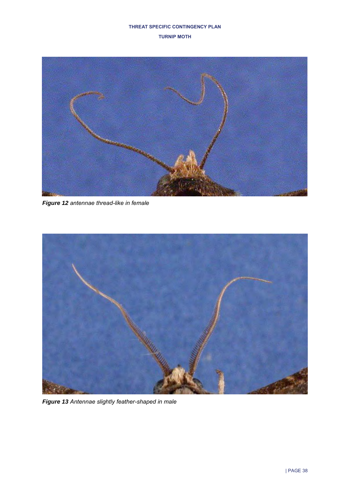

*Figure 12 antennae thread-like in female*



*Figure 13 Antennae slightly feather-shaped in male*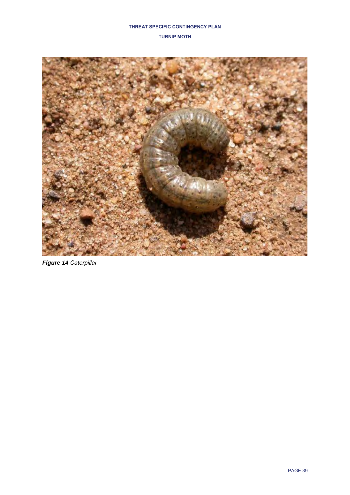

*Figure 14 Caterpillar*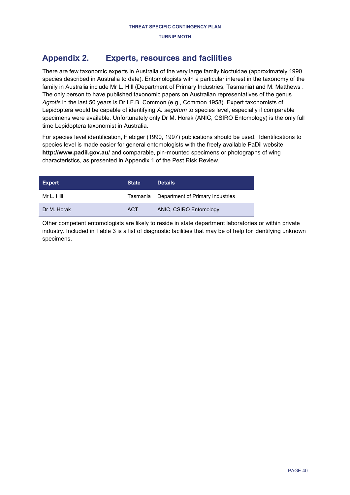## <span id="page-39-0"></span>**Appendix 2. Experts, resources and facilities**

There are few taxonomic experts in Australia of the very large family Noctuidae (approximately 1990 species described in Australia to date). Entomologists with a particular interest in the taxonomy of the family in Australia include Mr L. Hill (Department of Primary Industries, Tasmania) and M. Matthews . The only person to have published taxonomic papers on Australian representatives of the genus *Agrotis* in the last 50 years is Dr I.F.B. Common (e.g., Common 1958). Expert taxonomists of Lepidoptera would be capable of identifying *A. segetum* to species level, especially if comparable specimens were available. Unfortunately only Dr M. Horak (ANIC, CSIRO Entomology) is the only full time Lepidoptera taxonomist in Australia.

For species level identification, Fiebiger (1990, 1997) publications should be used. Identifications to species level is made easier for general entomologists with the freely available PaDil website **[http://www.padil.gov.au](http://www.padil.gov.au/)**/ and comparable, pin-mounted specimens or photographs of wing characteristics, as presented in Appendix 1 of the Pest Risk Review.

| <b>Expert</b> | <b>State</b> | <b>Details</b>                            |
|---------------|--------------|-------------------------------------------|
| Mr L. Hill    |              | Tasmania Department of Primary Industries |
| Dr M. Horak   | <b>ACT</b>   | ANIC, CSIRO Entomology                    |

Other competent entomologists are likely to reside in state department laboratories or within private industry. Included in [Table 3](#page-40-0) is a list of diagnostic facilities that may be of help for identifying unknown specimens.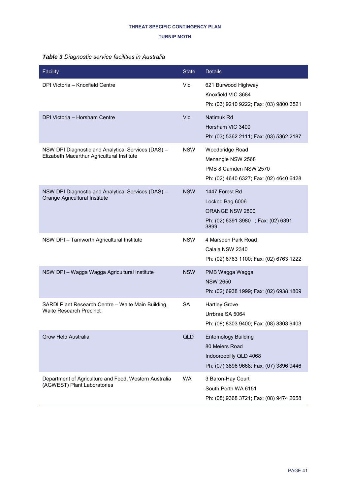### **TURNIP MOTH**

### <span id="page-40-0"></span>*Table 3 Diagnostic service facilities in Australia*

| Facility                                                                                         | <b>State</b> | <b>Details</b>                                                                                                    |
|--------------------------------------------------------------------------------------------------|--------------|-------------------------------------------------------------------------------------------------------------------|
| DPI Victoria - Knoxfield Centre                                                                  | Vic.         | 621 Burwood Highway<br>Knoxfield VIC 3684<br>Ph: (03) 9210 9222; Fax: (03) 9800 3521                              |
| DPI Victoria - Horsham Centre                                                                    | Vic          | Natimuk Rd<br>Horsham VIC 3400<br>Ph: (03) 5362 2111; Fax: (03) 5362 2187                                         |
| NSW DPI Diagnostic and Analytical Services (DAS) -<br>Elizabeth Macarthur Agricultural Institute | <b>NSW</b>   | Woodbridge Road<br>Menangle NSW 2568<br>PMB 8 Camden NSW 2570<br>Ph: (02) 4640 6327; Fax: (02) 4640 6428          |
| NSW DPI Diagnostic and Analytical Services (DAS) -<br>Orange Agricultural Institute              | <b>NSW</b>   | 1447 Forest Rd<br>Locked Bag 6006<br>ORANGE NSW 2800<br>Ph: (02) 6391 3980 ; Fax: (02) 6391<br>3899               |
| NSW DPI - Tamworth Agricultural Institute                                                        | <b>NSW</b>   | 4 Marsden Park Road<br>Calala NSW 2340<br>Ph: (02) 6763 1100; Fax: (02) 6763 1222                                 |
| NSW DPI - Wagga Wagga Agricultural Institute                                                     | <b>NSW</b>   | PMB Wagga Wagga<br><b>NSW 2650</b><br>Ph: (02) 6938 1999; Fax: (02) 6938 1809                                     |
| SARDI Plant Research Centre - Waite Main Building,<br><b>Waite Research Precinct</b>             | SA           | <b>Hartley Grove</b><br>Urrbrae SA 5064<br>Ph: (08) 8303 9400; Fax: (08) 8303 9403                                |
| Grow Help Australia                                                                              | <b>QLD</b>   | <b>Entomology Building</b><br>80 Meiers Road<br>Indooroopilly QLD 4068<br>Ph: (07) 3896 9668; Fax: (07) 3896 9446 |
| Department of Agriculture and Food, Western Australia<br>(AGWEST) Plant Laboratories             | <b>WA</b>    | 3 Baron-Hay Court<br>South Perth WA 6151<br>Ph: (08) 9368 3721; Fax: (08) 9474 2658                               |